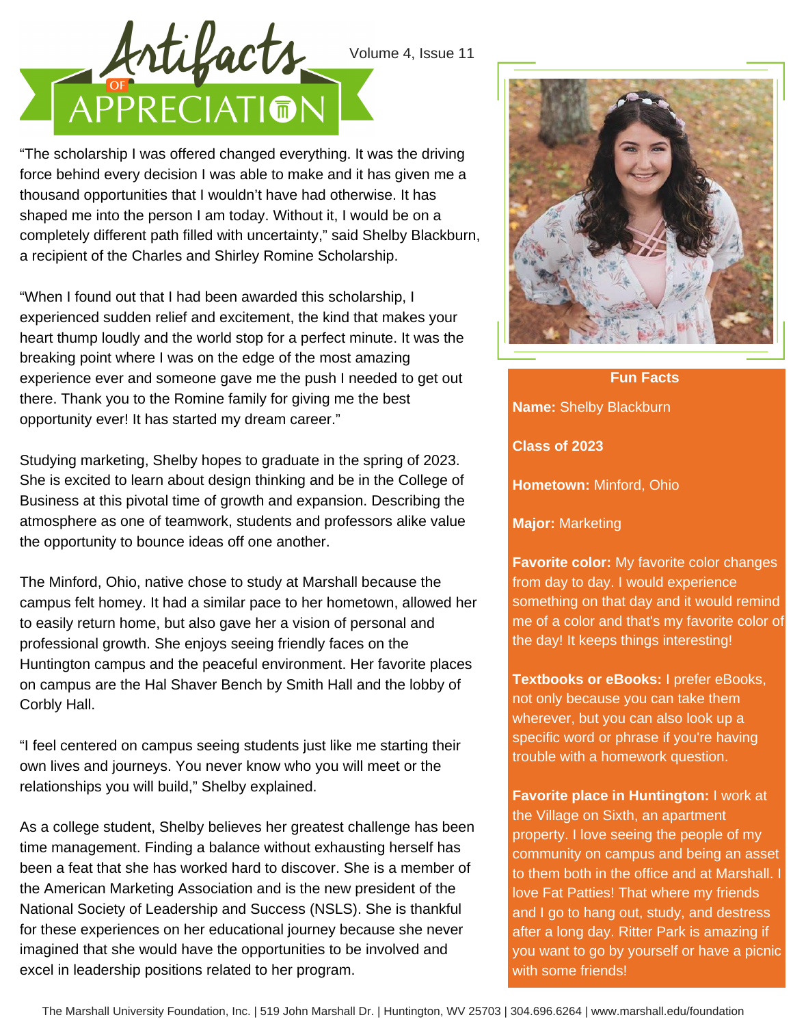

"The scholarship I was offered changed everything. It was the driving force behind every decision I was able to make and it has given me a thousand opportunities that I wouldn't have had otherwise. It has shaped me into the person I am today. Without it, I would be on a completely different path filled with uncertainty," said Shelby Blackburn, a recipient of the Charles and Shirley Romine Scholarship.

"When I found out that I had been awarded this scholarship, I experienced sudden relief and excitement, the kind that makes your heart thump loudly and the world stop for a perfect minute. It was the breaking point where I was on the edge of the most amazing experience ever and someone gave me the push I needed to get out there. Thank you to the Romine family for giving me the best opportunity ever! It has started my dream career."

Studying marketing, Shelby hopes to graduate in the spring of 2023. She is excited to learn about design thinking and be in the College of Business at this pivotal time of growth and expansion. Describing the atmosphere as one of teamwork, students and professors alike value the opportunity to bounce ideas off one another.

The Minford, Ohio, native chose to study at Marshall because the campus felt homey. It had a similar pace to her hometown, allowed her to easily return home, but also gave her a vision of personal and professional growth. She enjoys seeing friendly faces on the Huntington campus and the peaceful environment. Her favorite places on campus are the Hal Shaver Bench by Smith Hall and the lobby of Corbly Hall.

"I feel centered on campus seeing students just like me starting their own lives and journeys. You never know who you will meet or the relationships you will build," Shelby explained.

As a college student, Shelby believes her greatest challenge has been time management. Finding a balance without exhausting herself has been a feat that she has worked hard to discover. She is a member of the American Marketing Association and is the new president of the National Society of Leadership and Success (NSLS). She is thankful for these experiences on her educational journey because she never imagined that she would have the opportunities to be involved and excel in leadership positions related to her program.



**Name:** Shelby Blackburn **Class of 2023 Hometown:** Minford, Ohio **Fun Facts**

**Major:** Marketing

**Favorite color:** My favorite color changes from day to day. I would experience something on that day and it would remind me of a color and that's my favorite color of the day! It keeps things interesting!

**Textbooks or eBooks:** I prefer eBooks, not only because you can take them wherever, but you can also look up a specific word or phrase if you're having trouble with a homework question.

**Favorite place in Huntington:** I work at the Village on Sixth, an apartment property. I love seeing the people of my community on campus and being an asset to them both in the office and at Marshall. I love Fat Patties! That where my friends and I go to hang out, study, and destress after a long day. Ritter Park is amazing if you want to go by yourself or have a picnic with some friends!